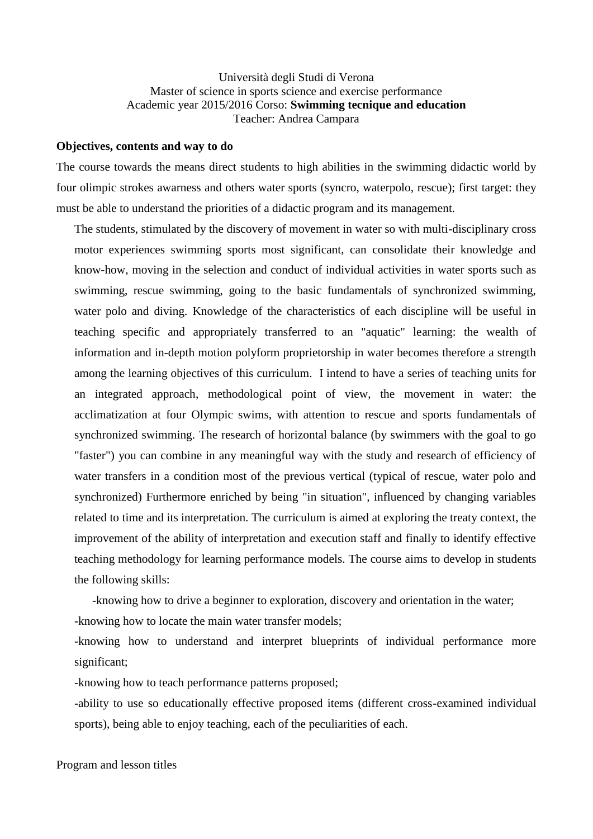## Università degli Studi di Verona Master of science in sports science and exercise performance Academic year 2015/2016 Corso: **Swimming tecnique and education** Teacher: Andrea Campara

#### **Objectives, contents and way to do**

The course towards the means direct students to high abilities in the swimming didactic world by four olimpic strokes awarness and others water sports (syncro, waterpolo, rescue); first target: they must be able to understand the priorities of a didactic program and its management.

The students, stimulated by the discovery of movement in water so with multi-disciplinary cross motor experiences swimming sports most significant, can consolidate their knowledge and know-how, moving in the selection and conduct of individual activities in water sports such as swimming, rescue swimming, going to the basic fundamentals of synchronized swimming, water polo and diving. Knowledge of the characteristics of each discipline will be useful in teaching specific and appropriately transferred to an "aquatic" learning: the wealth of information and in-depth motion polyform proprietorship in water becomes therefore a strength among the learning objectives of this curriculum. I intend to have a series of teaching units for an integrated approach, methodological point of view, the movement in water: the acclimatization at four Olympic swims, with attention to rescue and sports fundamentals of synchronized swimming. The research of horizontal balance (by swimmers with the goal to go "faster") you can combine in any meaningful way with the study and research of efficiency of water transfers in a condition most of the previous vertical (typical of rescue, water polo and synchronized) Furthermore enriched by being "in situation", influenced by changing variables related to time and its interpretation. The curriculum is aimed at exploring the treaty context, the improvement of the ability of interpretation and execution staff and finally to identify effective teaching methodology for learning performance models. The course aims to develop in students the following skills:

 -knowing how to drive a beginner to exploration, discovery and orientation in the water; -knowing how to locate the main water transfer models;

-knowing how to understand and interpret blueprints of individual performance more significant;

-knowing how to teach performance patterns proposed;

-ability to use so educationally effective proposed items (different cross-examined individual sports), being able to enjoy teaching, each of the peculiarities of each.

Program and lesson titles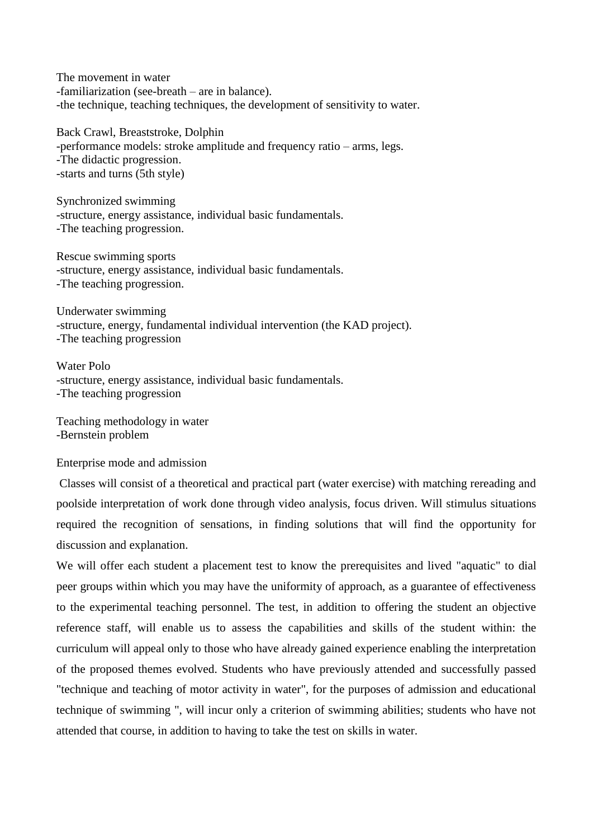The movement in water -familiarization (see-breath – are in balance). -the technique, teaching techniques, the development of sensitivity to water.

Back Crawl, Breaststroke, Dolphin -performance models: stroke amplitude and frequency ratio – arms, legs. -The didactic progression. -starts and turns (5th style)

Synchronized swimming -structure, energy assistance, individual basic fundamentals. -The teaching progression.

Rescue swimming sports -structure, energy assistance, individual basic fundamentals. -The teaching progression.

Underwater swimming -structure, energy, fundamental individual intervention (the KAD project). -The teaching progression

Water Polo -structure, energy assistance, individual basic fundamentals. -The teaching progression

Teaching methodology in water -Bernstein problem

#### Enterprise mode and admission

Classes will consist of a theoretical and practical part (water exercise) with matching rereading and poolside interpretation of work done through video analysis, focus driven. Will stimulus situations required the recognition of sensations, in finding solutions that will find the opportunity for discussion and explanation.

We will offer each student a placement test to know the prerequisites and lived "aquatic" to dial peer groups within which you may have the uniformity of approach, as a guarantee of effectiveness to the experimental teaching personnel. The test, in addition to offering the student an objective reference staff, will enable us to assess the capabilities and skills of the student within: the curriculum will appeal only to those who have already gained experience enabling the interpretation of the proposed themes evolved. Students who have previously attended and successfully passed "technique and teaching of motor activity in water", for the purposes of admission and educational technique of swimming ", will incur only a criterion of swimming abilities; students who have not attended that course, in addition to having to take the test on skills in water.